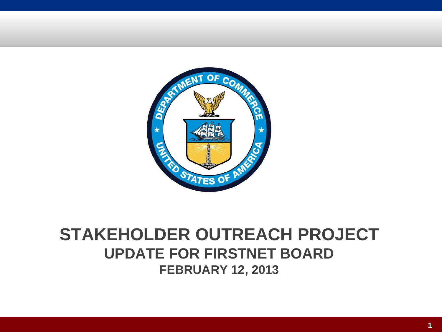

#### **STAKEHOLDER OUTREACH PROJECT UPDATE FOR FIRSTNET BOARD FEBRUARY 12, 2013**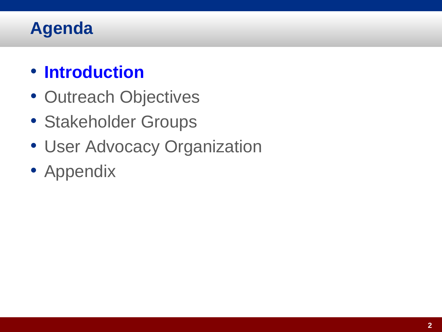#### **Agenda**

#### • **Introduction**

- Outreach Objectives
- Stakeholder Groups
- User Advocacy Organization
- Appendix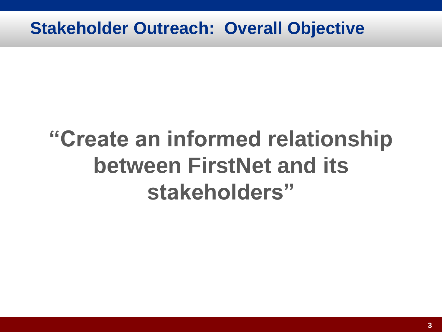#### **Stakeholder Outreach: Overall Objective**

# **"Create an informed relationship between FirstNet and its stakeholders"**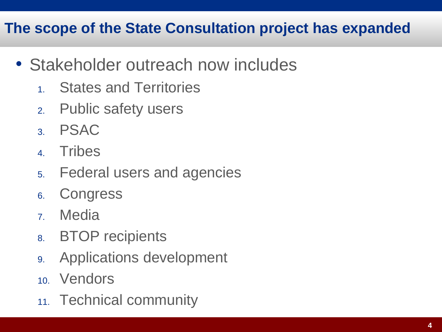#### **The scope of the State Consultation project has expanded**

- Stakeholder outreach now includes
	- 1. States and Territories
	- 2. Public safety users
	- 3. PSAC
	- 4. Tribes
	- 5. Federal users and agencies
	- 6. Congress
	- 7. Media
	- 8. BTOP recipients
	- 9. Applications development
	- 10. Vendors
	- 11. Technical community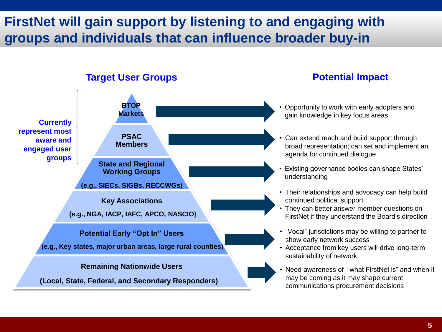#### **FirstNet will gain support by listening to and engaging with groups and individuals that can influence broader buy-in**

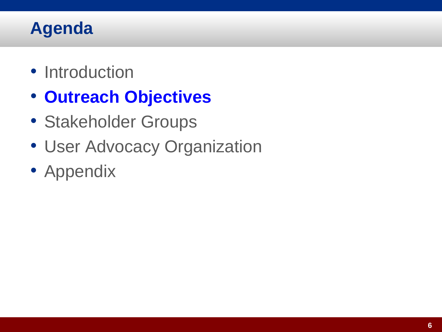#### **Agenda**

- Introduction
- **Outreach Objectives**
- Stakeholder Groups
- User Advocacy Organization
- Appendix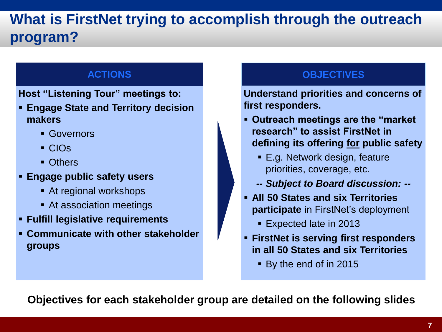#### **What is FirstNet trying to accomplish through the outreach program?**

**Host "Listening Tour" meetings to:**

- **Engage State and Territory decision makers**
	- Governors
	- CIOs
	- **C**thers
- **Engage public safety users**
	- At regional workshops
	- **At association meetings**
- **Fulfill legislative requirements**
- **Communicate with other stakeholder groups**

#### **ACTIONS OBJECTIVES**

**Understand priorities and concerns of first responders.**

- **Outreach meetings are the "market research" to assist FirstNet in defining its offering for public safety**
	- E.g. Network design, feature priorities, coverage, etc.
	- *-- Subject to Board discussion: --*
- **All 50 States and six Territories participate** in FirstNet's deployment
	- Expected late in 2013
- **FirstNet is serving first responders in all 50 States and six Territories** 
	- By the end of in 2015

**Objectives for each stakeholder group are detailed on the following slides**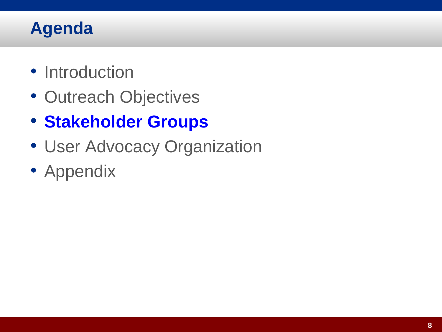#### **Agenda**

- Introduction
- Outreach Objectives
- **Stakeholder Groups**
- User Advocacy Organization
- Appendix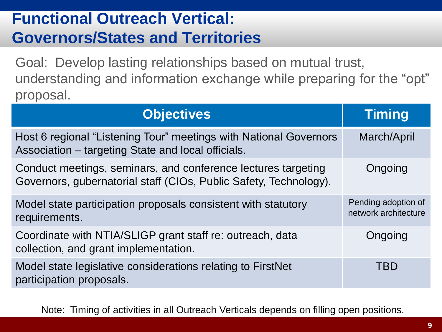#### **Functional Outreach Vertical: Governors/States and Territories**

Goal: Develop lasting relationships based on mutual trust, understanding and information exchange while preparing for the "opt" proposal.

| <b>Objectives</b>                                                                                                                  | Timing                                      |
|------------------------------------------------------------------------------------------------------------------------------------|---------------------------------------------|
| Host 6 regional "Listening Tour" meetings with National Governors<br>Association - targeting State and local officials.            | March/April                                 |
| Conduct meetings, seminars, and conference lectures targeting<br>Governors, gubernatorial staff (CIOs, Public Safety, Technology). | Ongoing                                     |
| Model state participation proposals consistent with statutory<br>requirements.                                                     | Pending adoption of<br>network architecture |
| Coordinate with NTIA/SLIGP grant staff re: outreach, data<br>collection, and grant implementation.                                 | Ongoing                                     |
| Model state legislative considerations relating to FirstNet<br>participation proposals.                                            | <b>TBD</b>                                  |

Note: Timing of activities in all Outreach Verticals depends on filling open positions.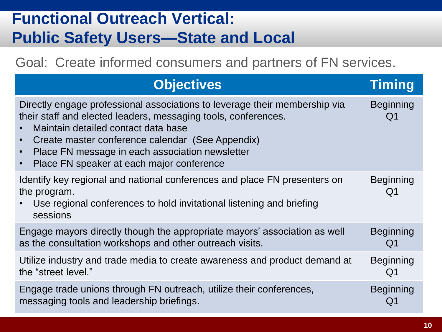#### **Functional Outreach Vertical: Public Safety Users—State and Local**

Goal: Create informed consumers and partners of FN services.

| <b>Objectives</b>                                                                                                                                                                                                                                                                                                                                                 | <b>Timing</b>                      |
|-------------------------------------------------------------------------------------------------------------------------------------------------------------------------------------------------------------------------------------------------------------------------------------------------------------------------------------------------------------------|------------------------------------|
| Directly engage professional associations to leverage their membership via<br>their staff and elected leaders, messaging tools, conferences.<br>Maintain detailed contact data base<br>Create master conference calendar (See Appendix)<br>$\bullet$<br>Place FN message in each association newsletter<br>$\bullet$<br>Place FN speaker at each major conference | <b>Beginning</b><br>Q1             |
| Identify key regional and national conferences and place FN presenters on<br>the program.<br>Use regional conferences to hold invitational listening and briefing<br>sessions                                                                                                                                                                                     | <b>Beginning</b><br>Q <sub>1</sub> |
| Engage mayors directly though the appropriate mayors' association as well                                                                                                                                                                                                                                                                                         | <b>Beginning</b>                   |
| as the consultation workshops and other outreach visits.                                                                                                                                                                                                                                                                                                          | Q1                                 |
| Utilize industry and trade media to create awareness and product demand at                                                                                                                                                                                                                                                                                        | <b>Beginning</b>                   |
| the "street level."                                                                                                                                                                                                                                                                                                                                               | Q1                                 |
| Engage trade unions through FN outreach, utilize their conferences,                                                                                                                                                                                                                                                                                               | <b>Beginning</b>                   |
| messaging tools and leadership briefings.                                                                                                                                                                                                                                                                                                                         | Q1                                 |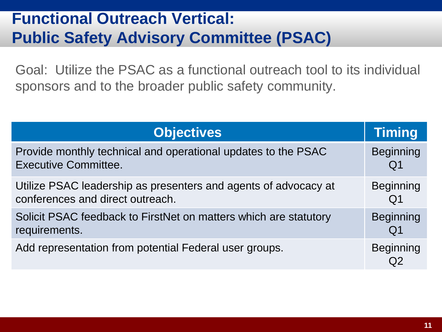#### **Functional Outreach Vertical: Public Safety Advisory Committee (PSAC)**

Goal: Utilize the PSAC as a functional outreach tool to its individual sponsors and to the broader public safety community.

| <b>Objectives</b>                                                | <b>Timing</b>    |
|------------------------------------------------------------------|------------------|
| Provide monthly technical and operational updates to the PSAC    | <b>Beginning</b> |
| <b>Executive Committee.</b>                                      | Q1               |
| Utilize PSAC leadership as presenters and agents of advocacy at  | <b>Beginning</b> |
| conferences and direct outreach.                                 | Q <sub>1</sub>   |
| Solicit PSAC feedback to FirstNet on matters which are statutory | <b>Beginning</b> |
| requirements.                                                    | Q1               |
| Add representation from potential Federal user groups.           | <b>Beginning</b> |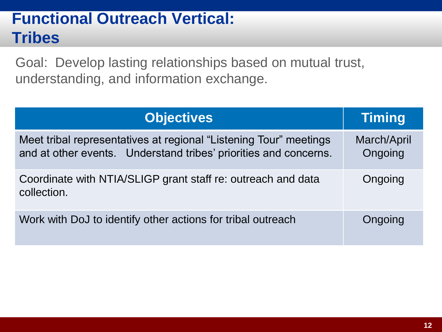#### **Functional Outreach Vertical: Tribes**

Goal: Develop lasting relationships based on mutual trust, understanding, and information exchange.

| <b>Objectives</b>                                                                                                                     | Timing                 |
|---------------------------------------------------------------------------------------------------------------------------------------|------------------------|
| Meet tribal representatives at regional "Listening Tour" meetings<br>and at other events. Understand tribes' priorities and concerns. | March/April<br>Ongoing |
| Coordinate with NTIA/SLIGP grant staff re: outreach and data<br>collection.                                                           | Ongoing                |
| Work with DoJ to identify other actions for tribal outreach                                                                           | Ongoing                |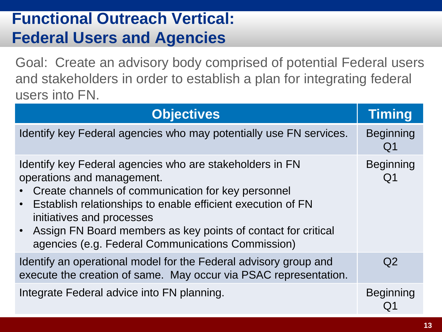#### **Functional Outreach Vertical: Federal Users and Agencies**

Goal: Create an advisory body comprised of potential Federal users and stakeholders in order to establish a plan for integrating federal users into FN.

| <b>Objectives</b>                                                                                                                                                                                                                                                                                                                                                | Timing                             |
|------------------------------------------------------------------------------------------------------------------------------------------------------------------------------------------------------------------------------------------------------------------------------------------------------------------------------------------------------------------|------------------------------------|
| Identify key Federal agencies who may potentially use FN services.                                                                                                                                                                                                                                                                                               | <b>Beginning</b><br>Q <sub>1</sub> |
| Identify key Federal agencies who are stakeholders in FN<br>operations and management.<br>Create channels of communication for key personnel<br>Establish relationships to enable efficient execution of FN<br>initiatives and processes<br>• Assign FN Board members as key points of contact for critical<br>agencies (e.g. Federal Communications Commission) | <b>Beginning</b><br>Q <sub>1</sub> |
| Identify an operational model for the Federal advisory group and<br>execute the creation of same. May occur via PSAC representation.                                                                                                                                                                                                                             | Q2                                 |
| Integrate Federal advice into FN planning.                                                                                                                                                                                                                                                                                                                       | <b>Beginning</b>                   |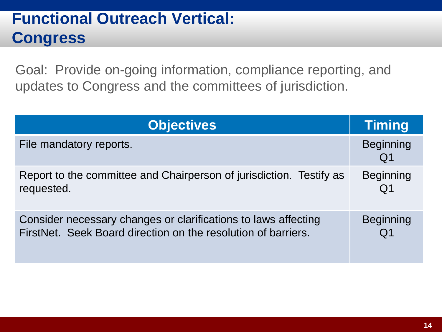#### **Functional Outreach Vertical: Congress**

Goal: Provide on-going information, compliance reporting, and updates to Congress and the committees of jurisdiction.

| <b>Objectives</b>                                                   | Timing                 |
|---------------------------------------------------------------------|------------------------|
| File mandatory reports.                                             | <b>Beginning</b><br>Q1 |
| Report to the committee and Chairperson of jurisdiction. Testify as | <b>Beginning</b>       |
| requested.                                                          | Q <sub>1</sub>         |
| Consider necessary changes or clarifications to laws affecting      | <b>Beginning</b>       |
| FirstNet. Seek Board direction on the resolution of barriers.       | Q <sub>1</sub>         |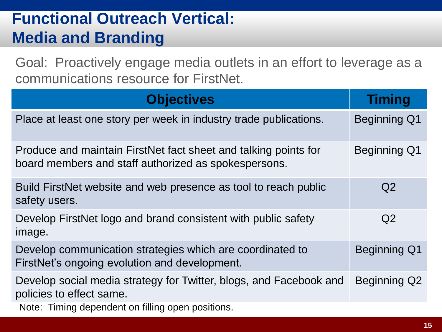#### **Functional Outreach Vertical: Media and Branding**

Goal: Proactively engage media outlets in an effort to leverage as a communications resource for FirstNet.

| <b>Objectives</b>                                                                                                       | <b>Timing</b>       |
|-------------------------------------------------------------------------------------------------------------------------|---------------------|
| Place at least one story per week in industry trade publications.                                                       | <b>Beginning Q1</b> |
| Produce and maintain FirstNet fact sheet and talking points for<br>board members and staff authorized as spokespersons. | <b>Beginning Q1</b> |
| Build FirstNet website and web presence as tool to reach public<br>safety users.                                        | Q <sub>2</sub>      |
| Develop FirstNet logo and brand consistent with public safety<br>image.                                                 | Q <sub>2</sub>      |
| Develop communication strategies which are coordinated to<br>FirstNet's ongoing evolution and development.              | <b>Beginning Q1</b> |
| Develop social media strategy for Twitter, blogs, and Facebook and<br>policies to effect same.                          | <b>Beginning Q2</b> |
| Note: Timing dependent on filling open positions.                                                                       |                     |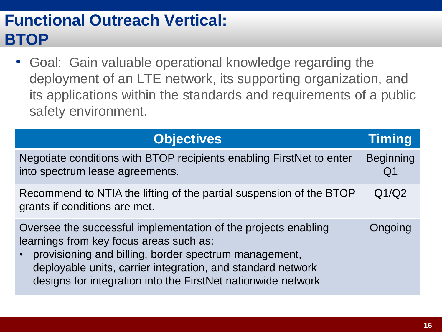#### **Functional Outreach Vertical: BTOP**

• Goal: Gain valuable operational knowledge regarding the deployment of an LTE network, its supporting organization, and its applications within the standards and requirements of a public safety environment.

| <b>Objectives</b>                                                                                                                                                                                                                                                                                 | <b>Timing</b>          |
|---------------------------------------------------------------------------------------------------------------------------------------------------------------------------------------------------------------------------------------------------------------------------------------------------|------------------------|
| Negotiate conditions with BTOP recipients enabling FirstNet to enter<br>into spectrum lease agreements.                                                                                                                                                                                           | <b>Beginning</b><br>Q1 |
| Recommend to NTIA the lifting of the partial suspension of the BTOP<br>grants if conditions are met.                                                                                                                                                                                              | Q1/Q2                  |
| Oversee the successful implementation of the projects enabling<br>learnings from key focus areas such as:<br>provisioning and billing, border spectrum management,<br>deployable units, carrier integration, and standard network<br>designs for integration into the FirstNet nationwide network | Ongoing                |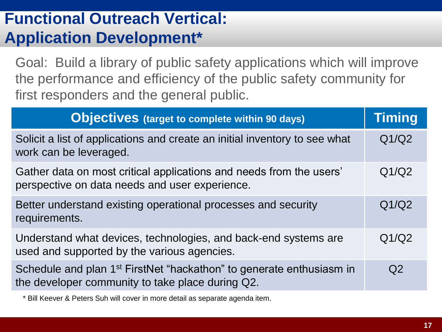#### **Functional Outreach Vertical: Application Development\***

Goal: Build a library of public safety applications which will improve the performance and efficiency of the public safety community for first responders and the general public.

| <b>Objectives</b> (target to complete within 90 days)                                                                                | Timing |
|--------------------------------------------------------------------------------------------------------------------------------------|--------|
| Solicit a list of applications and create an initial inventory to see what<br>work can be leveraged.                                 | Q1/Q2  |
| Gather data on most critical applications and needs from the users'<br>perspective on data needs and user experience.                | Q1/Q2  |
| Better understand existing operational processes and security<br>requirements.                                                       | Q1/Q2  |
| Understand what devices, technologies, and back-end systems are<br>used and supported by the various agencies.                       | Q1/Q2  |
| Schedule and plan 1 <sup>st</sup> FirstNet "hackathon" to generate enthusiasm in<br>the developer community to take place during Q2. | Q2     |

\* Bill Keever & Peters Suh will cover in more detail as separate agenda item.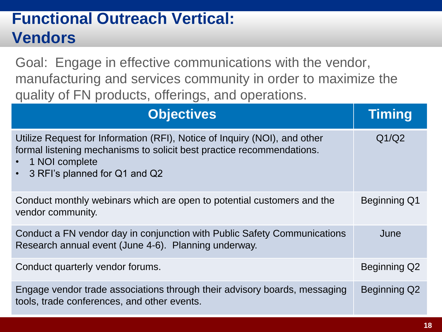#### **Functional Outreach Vertical: Vendors**

Goal: Engage in effective communications with the vendor, manufacturing and services community in order to maximize the quality of FN products, offerings, and operations.

| <b>Objectives</b>                                                                                                                                                                                                  | <b>Timing</b>       |
|--------------------------------------------------------------------------------------------------------------------------------------------------------------------------------------------------------------------|---------------------|
| Utilize Request for Information (RFI), Notice of Inquiry (NOI), and other<br>formal listening mechanisms to solicit best practice recommendations.<br>1 NOI complete<br>3 RFI's planned for Q1 and Q2<br>$\bullet$ | Q1/Q2               |
| Conduct monthly webinars which are open to potential customers and the<br>vendor community.                                                                                                                        | <b>Beginning Q1</b> |
| Conduct a FN vendor day in conjunction with Public Safety Communications<br>Research annual event (June 4-6). Planning underway.                                                                                   | June                |
| Conduct quarterly vendor forums.                                                                                                                                                                                   | Beginning Q2        |
| Engage vendor trade associations through their advisory boards, messaging<br>tools, trade conferences, and other events.                                                                                           | Beginning Q2        |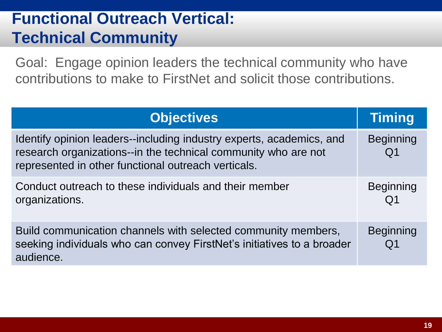#### **Functional Outreach Vertical: Technical Community**

Goal: Engage opinion leaders the technical community who have contributions to make to FirstNet and solicit those contributions.

| <b>Objectives</b>                                                                                                                                                                             | Timing                 |
|-----------------------------------------------------------------------------------------------------------------------------------------------------------------------------------------------|------------------------|
| Identify opinion leaders--including industry experts, academics, and<br>research organizations--in the technical community who are not<br>represented in other functional outreach verticals. | <b>Beginning</b><br>Q1 |
| Conduct outreach to these individuals and their member<br>organizations.                                                                                                                      | <b>Beginning</b><br>Q1 |
| Build communication channels with selected community members,<br>seeking individuals who can convey FirstNet's initiatives to a broader<br>audience.                                          | <b>Beginning</b>       |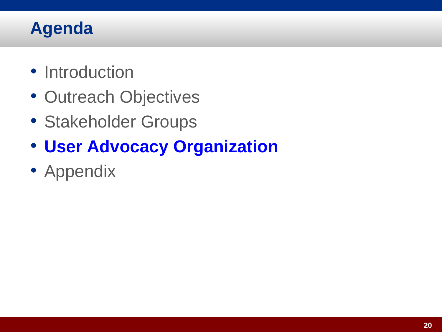#### **Agenda**

- Introduction
- Outreach Objectives
- Stakeholder Groups
- **User Advocacy Organization**
- Appendix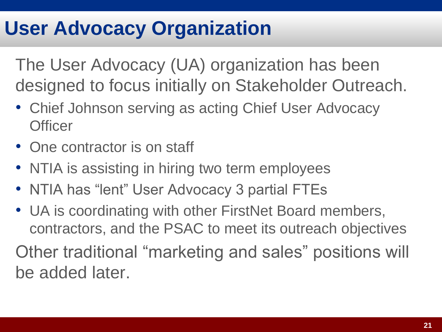## **User Advocacy Organization**

The User Advocacy (UA) organization has been designed to focus initially on Stakeholder Outreach.

- Chief Johnson serving as acting Chief User Advocacy **Officer**
- One contractor is on staff
- NTIA is assisting in hiring two term employees
- NTIA has "lent" User Advocacy 3 partial FTEs
- UA is coordinating with other FirstNet Board members, contractors, and the PSAC to meet its outreach objectives

Other traditional "marketing and sales" positions will be added later.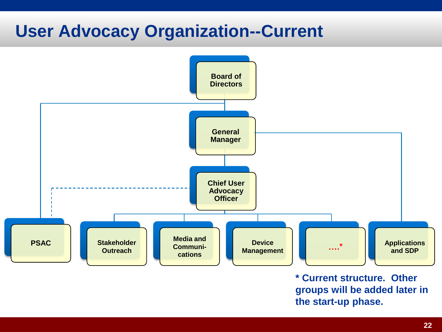#### **User Advocacy Organization--Current**



**\* Current structure. Other groups will be added later in the start-up phase.**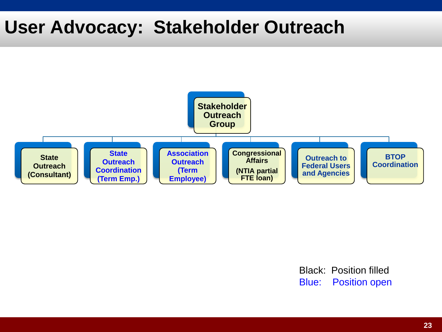#### **User Advocacy: Stakeholder Outreach**



Black: Position filled Blue: Position open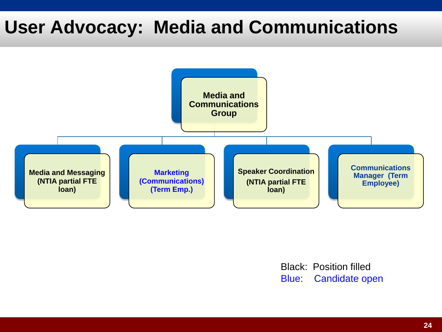## **User Advocacy: Media and Communications**



Black: Position filled Blue: Candidate open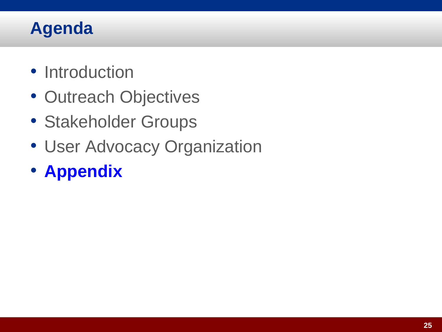#### **Agenda**

- Introduction
- Outreach Objectives
- Stakeholder Groups
- User Advocacy Organization
- **Appendix**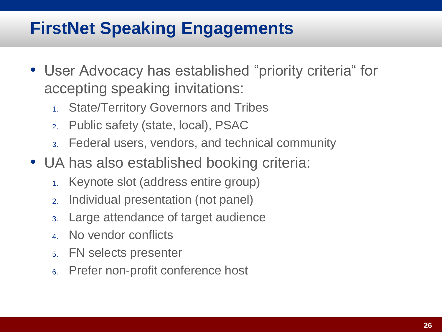## **FirstNet Speaking Engagements**

- User Advocacy has established "priority criteria" for accepting speaking invitations:
	- 1. State/Territory Governors and Tribes
	- 2. Public safety (state, local), PSAC
	- 3. Federal users, vendors, and technical community
- UA has also established booking criteria:
	- 1. Keynote slot (address entire group)
	- 2. Individual presentation (not panel)
	- 3. Large attendance of target audience
	- 4. No vendor conflicts
	- 5. FN selects presenter
	- 6. Prefer non-profit conference host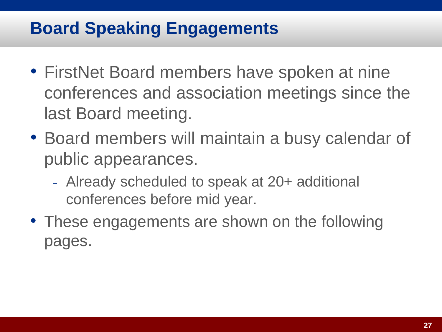#### **Board Speaking Engagements**

- FirstNet Board members have spoken at nine conferences and association meetings since the last Board meeting.
- Board members will maintain a busy calendar of public appearances.
	- <sup>−</sup> Already scheduled to speak at 20+ additional conferences before mid year.
- These engagements are shown on the following pages.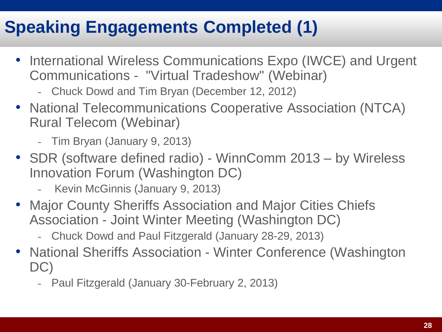## **Speaking Engagements Completed (1)**

- International Wireless Communications Expo (IWCE) and Urgent Communications - "Virtual Tradeshow" (Webinar)
	- <sup>−</sup> Chuck Dowd and Tim Bryan (December 12, 2012)
- National Telecommunications Cooperative Association (NTCA) Rural Telecom (Webinar)
	- <sup>−</sup> Tim Bryan (January 9, 2013)
- SDR (software defined radio) WinnComm 2013 by Wireless Innovation Forum (Washington DC)
	- <sup>−</sup> Kevin McGinnis (January 9, 2013)
- Major County Sheriffs Association and Major Cities Chiefs Association - Joint Winter Meeting (Washington DC)
	- <sup>−</sup> Chuck Dowd and Paul Fitzgerald (January 28-29, 2013)
- National Sheriffs Association Winter Conference (Washington DC)
	- <sup>−</sup> Paul Fitzgerald (January 30-February 2, 2013)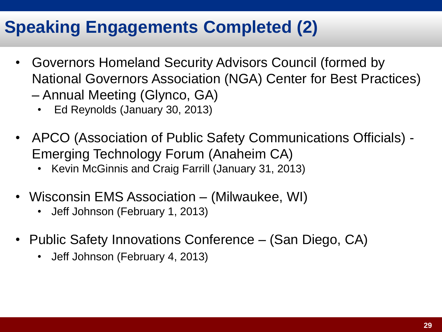#### **Speaking Engagements Completed (2)**

- Governors Homeland Security Advisors Council (formed by National Governors Association (NGA) Center for Best Practices)
	- Annual Meeting (Glynco, GA)
		- Ed Reynolds (January 30, 2013)
- APCO (Association of Public Safety Communications Officials) Emerging Technology Forum (Anaheim CA)
	- Kevin McGinnis and Craig Farrill (January 31, 2013)
- Wisconsin EMS Association (Milwaukee, WI)
	- Jeff Johnson (February 1, 2013)
- Public Safety Innovations Conference (San Diego, CA)
	- Jeff Johnson (February 4, 2013)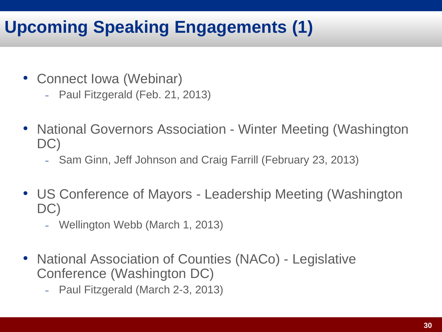## **Upcoming Speaking Engagements (1)**

- Connect Iowa (Webinar)
	- <sup>−</sup> Paul Fitzgerald (Feb. 21, 2013)
- National Governors Association Winter Meeting (Washington DC)
	- <sup>−</sup> Sam Ginn, Jeff Johnson and Craig Farrill (February 23, 2013)
- US Conference of Mayors Leadership Meeting (Washington DC)
	- <sup>−</sup> Wellington Webb (March 1, 2013)
- National Association of Counties (NACo) Legislative Conference (Washington DC)
	- <sup>−</sup> Paul Fitzgerald (March 2-3, 2013)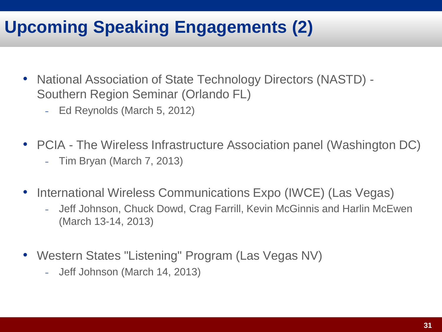#### **Upcoming Speaking Engagements (2)**

- National Association of State Technology Directors (NASTD) Southern Region Seminar (Orlando FL)
	- <sup>−</sup> Ed Reynolds (March 5, 2012)
- PCIA The Wireless Infrastructure Association panel (Washington DC)
	- <sup>−</sup> Tim Bryan (March 7, 2013)
- International Wireless Communications Expo (IWCE) (Las Vegas)
	- <sup>−</sup> Jeff Johnson, Chuck Dowd, Crag Farrill, Kevin McGinnis and Harlin McEwen (March 13-14, 2013)
- Western States "Listening" Program (Las Vegas NV)
	- <sup>−</sup> Jeff Johnson (March 14, 2013)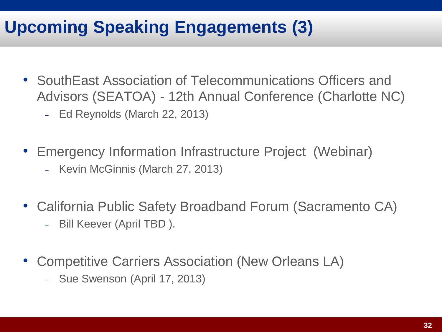### **Upcoming Speaking Engagements (3)**

- SouthEast Association of Telecommunications Officers and Advisors (SEATOA) - 12th Annual Conference (Charlotte NC)
	- <sup>−</sup> Ed Reynolds (March 22, 2013)
- Emergency Information Infrastructure Project (Webinar)
	- <sup>−</sup> Kevin McGinnis (March 27, 2013)
- California Public Safety Broadband Forum (Sacramento CA)
	- <sup>−</sup> Bill Keever (April TBD ).
- Competitive Carriers Association (New Orleans LA)
	- <sup>−</sup> Sue Swenson (April 17, 2013)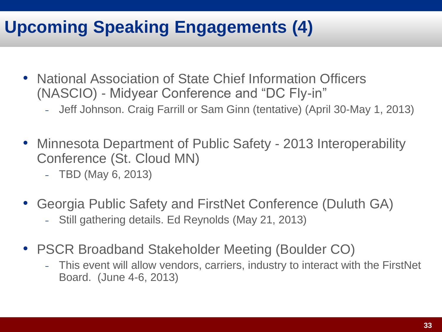## **Upcoming Speaking Engagements (4)**

- National Association of State Chief Information Officers (NASCIO) - Midyear Conference and "DC Fly-in"
	- <sup>−</sup> Jeff Johnson. Craig Farrill or Sam Ginn (tentative) (April 30-May 1, 2013)
- Minnesota Department of Public Safety 2013 Interoperability Conference (St. Cloud MN)
	- <sup>−</sup> TBD (May 6, 2013)
- Georgia Public Safety and FirstNet Conference (Duluth GA)
	- <sup>−</sup> Still gathering details. Ed Reynolds (May 21, 2013)
- PSCR Broadband Stakeholder Meeting (Boulder CO)
	- <sup>−</sup> This event will allow vendors, carriers, industry to interact with the FirstNet Board. (June 4-6, 2013)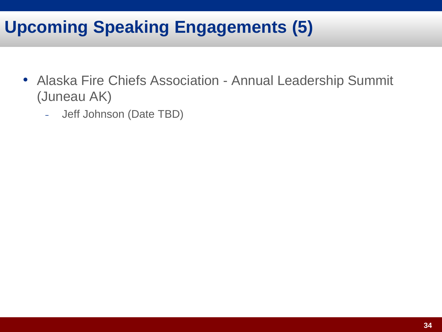#### **Upcoming Speaking Engagements (5)**

- Alaska Fire Chiefs Association Annual Leadership Summit (Juneau AK)
	- <sup>−</sup> Jeff Johnson (Date TBD)